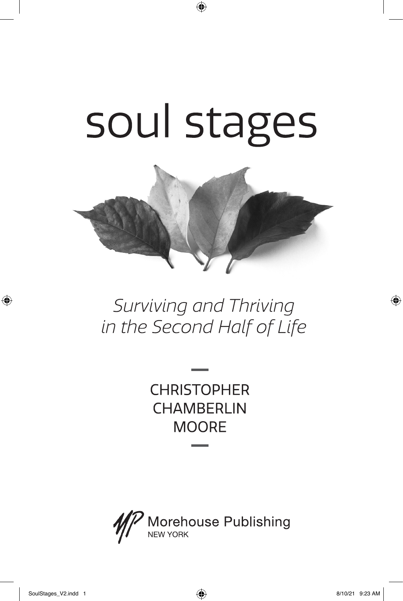# soul stages



Surviving and Thriving in the Second Half of Life

> **CHRISTOPHER CHAMBERLIN MOORE**

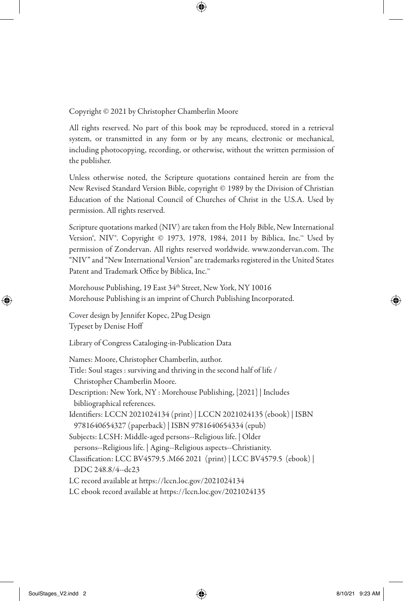Copyright © 2021 by Christopher Chamberlin Moore

All rights reserved. No part of this book may be reproduced, stored in a retrieval system, or transmitted in any form or by any means, electronic or mechanical, including photocopying, recording, or otherwise, without the written permission of the publisher.

Unless otherwise noted, the Scripture quotations contained herein are from the New Revised Standard Version Bible, copyright © 1989 by the Division of Christian Education of the National Council of Churches of Christ in the U.S.A. Used by permission. All rights reserved.

Scripture quotations marked (NIV) are taken from the Holy Bible, New International Version®, NIV®. Copyright © 1973, 1978, 1984, 2011 by Biblica, Inc.™ Used by permission of Zondervan. All rights reserved worldwide. www.zondervan.com. The "NIV" and "New International Version" are trademarks registered in the United States Patent and Trademark Office by Biblica, Inc.<sup>™</sup>

Morehouse Publishing, 19 East 34th Street, New York, NY 10016 Morehouse Publishing is an imprint of Church Publishing Incorporated.

Cover design by Jennifer Kopec, 2Pug Design Typeset by Denise Hoff

Library of Congress Cataloging-in-Publication Data

Names: Moore, Christopher Chamberlin, author.

- Title: Soul stages : surviving and thriving in the second half of life / Christopher Chamberlin Moore.
- Description: New York, NY : Morehouse Publishing, [2021] | Includes bibliographical references.

Identifiers: LCCN 2021024134 (print) | LCCN 2021024135 (ebook) | ISBN 9781640654327 (paperback) | ISBN 9781640654334 (epub)

Subjects: LCSH: Middle-aged persons--Religious life. | Older

persons--Religious life. | Aging--Religious aspects--Christianity.

- Classification: LCC BV4579.5 .M66 2021 (print) | LCC BV4579.5 (ebook) | DDC 248.8/4--dc23
- LC record available at https://lccn.loc.gov/2021024134
- LC ebook record available at https://lccn.loc.gov/2021024135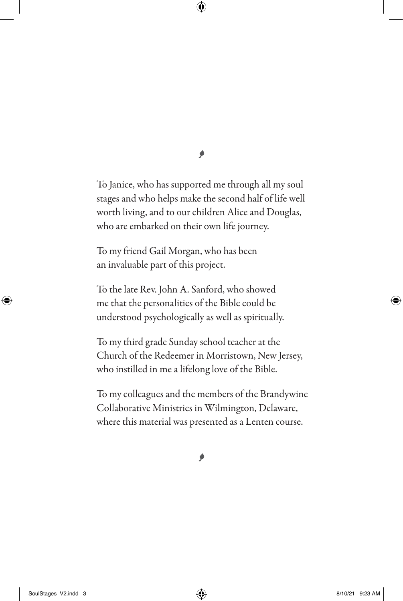۸

To Janice, who has supported me through all my soul stages and who helps make the second half of life well worth living, and to our children Alice and Douglas, who are embarked on their own life journey.

To my friend Gail Morgan, who has been an invaluable part of this project.

To the late Rev. John A. Sanford, who showed me that the personalities of the Bible could be understood psychologically as well as spiritually.

To my third grade Sunday school teacher at the Church of the Redeemer in Morristown, New Jersey, who instilled in me a lifelong love of the Bible.

To my colleagues and the members of the Brandywine Collaborative Ministries in Wilmington, Delaware, where this material was presented as a Lenten course.

۶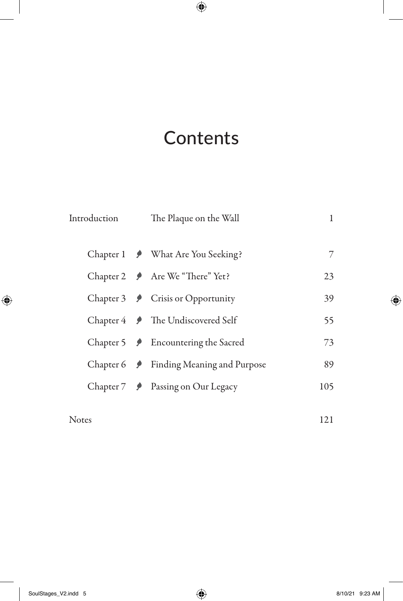## **Contents**

| Introduction | The Plaque on the Wall                               | 1   |
|--------------|------------------------------------------------------|-----|
|              | Chapter 1 • What Are You Seeking?                    | 7   |
|              | Chapter 2 ♦ Are We "There" Yet?                      | 23  |
|              | Chapter 3 → Crisis or Opportunity                    | 39  |
|              | Chapter $4 \rightarrow \text{The Undiscovered Self}$ | 55  |
|              | Chapter 5 P Encountering the Sacred                  | 73  |
|              | Chapter 6 • Finding Meaning and Purpose              | 89  |
|              | Chapter 7 Passing on Our Legacy                      | 105 |
|              |                                                      |     |

Notes 121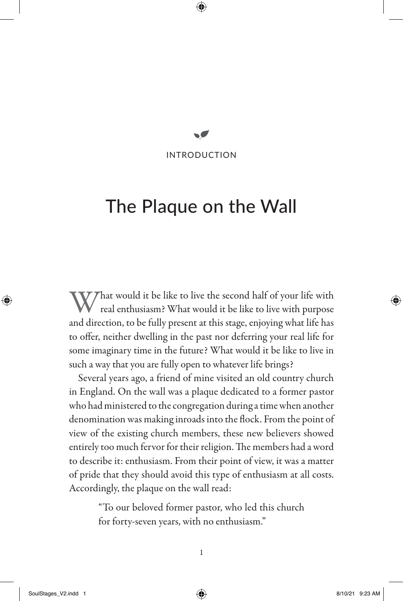

INTRODUCTION

## The Plaque on the Wall

**V7** hat would it be like to live the second half of your life with real enthusiasm? What would it be like to live with purpose and direction, to be fully present at this stage, enjoying what life has to offer, neither dwelling in the past nor deferring your real life for some imaginary time in the future? What would it be like to live in such a way that you are fully open to whatever life brings?

Several years ago, a friend of mine visited an old country church in England. On the wall was a plaque dedicated to a former pastor who had ministered to the congregation during a time when another denomination was making inroads into the flock. From the point of view of the existing church members, these new believers showed entirely too much fervor for their religion. The members had a word to describe it: enthusiasm. From their point of view, it was a matter of pride that they should avoid this type of enthusiasm at all costs. Accordingly, the plaque on the wall read:

> "To our beloved former pastor, who led this church for forty-seven years, with no enthusiasm."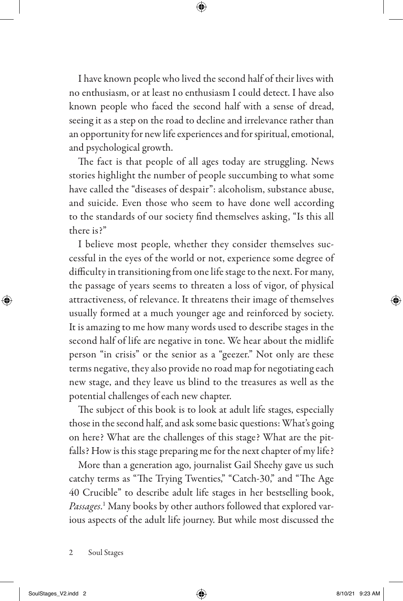I have known people who lived the second half of their lives with no enthusiasm, or at least no enthusiasm I could detect. I have also known people who faced the second half with a sense of dread, seeing it as a step on the road to decline and irrelevance rather than an opportunity for new life experiences and for spiritual, emotional, and psychological growth.

The fact is that people of all ages today are struggling. News stories highlight the number of people succumbing to what some have called the "diseases of despair": alcoholism, substance abuse, and suicide. Even those who seem to have done well according to the standards of our society find themselves asking, "Is this all there is?"

I believe most people, whether they consider themselves successful in the eyes of the world or not, experience some degree of difficulty in transitioning from one life stage to the next. For many, the passage of years seems to threaten a loss of vigor, of physical attractiveness, of relevance. It threatens their image of themselves usually formed at a much younger age and reinforced by society. It is amazing to me how many words used to describe stages in the second half of life are negative in tone. We hear about the midlife person "in crisis" or the senior as a "geezer." Not only are these terms negative, they also provide no road map for negotiating each new stage, and they leave us blind to the treasures as well as the potential challenges of each new chapter.

The subject of this book is to look at adult life stages, especially those in the second half, and ask some basic questions: What's going on here? What are the challenges of this stage? What are the pitfalls? How is this stage preparing me for the next chapter of my life?

More than a generation ago, journalist Gail Sheehy gave us such catchy terms as "The Trying Twenties," "Catch-30," and "The Age 40 Crucible" to describe adult life stages in her bestselling book, *Passages*. 1 Many books by other authors followed that explored various aspects of the adult life journey. But while most discussed the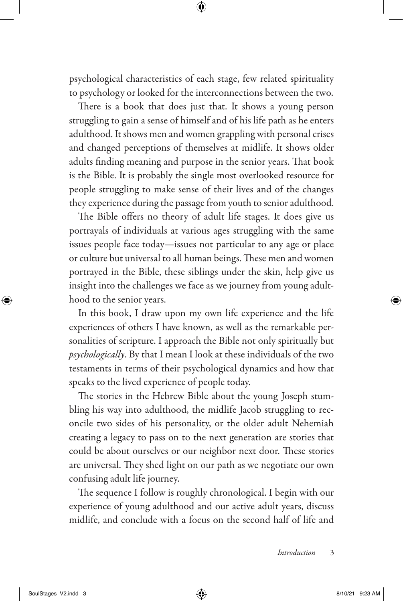psychological characteristics of each stage, few related spirituality to psychology or looked for the interconnections between the two.

There is a book that does just that. It shows a young person struggling to gain a sense of himself and of his life path as he enters adulthood. It shows men and women grappling with personal crises and changed perceptions of themselves at midlife. It shows older adults finding meaning and purpose in the senior years. That book is the Bible. It is probably the single most overlooked resource for people struggling to make sense of their lives and of the changes they experience during the passage from youth to senior adulthood.

The Bible offers no theory of adult life stages. It does give us portrayals of individuals at various ages struggling with the same issues people face today—issues not particular to any age or place or culture but universal to all human beings. These men and women portrayed in the Bible, these siblings under the skin, help give us insight into the challenges we face as we journey from young adulthood to the senior years.

In this book, I draw upon my own life experience and the life experiences of others I have known, as well as the remarkable personalities of scripture. I approach the Bible not only spiritually but *psychologically*. By that I mean I look at these individuals of the two testaments in terms of their psychological dynamics and how that speaks to the lived experience of people today.

The stories in the Hebrew Bible about the young Joseph stumbling his way into adulthood, the midlife Jacob struggling to reconcile two sides of his personality, or the older adult Nehemiah creating a legacy to pass on to the next generation are stories that could be about ourselves or our neighbor next door. These stories are universal. They shed light on our path as we negotiate our own confusing adult life journey.

The sequence I follow is roughly chronological. I begin with our experience of young adulthood and our active adult years, discuss midlife, and conclude with a focus on the second half of life and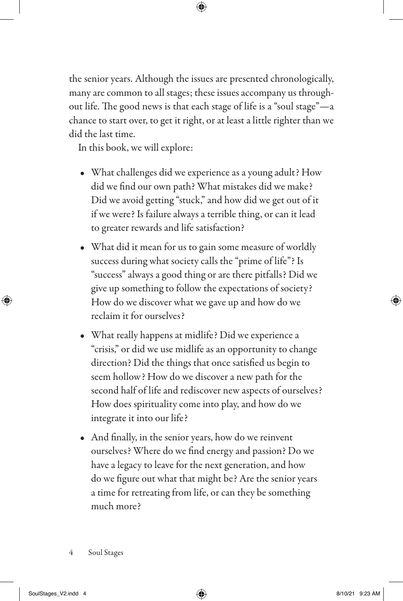the senior years. Although the issues are presented chronologically, many are common to all stages; these issues accompany us throughout life. The good news is that each stage of life is a "soul stage"—a chance to start over, to get it right, or at least a little righter than we did the last time.

In this book, we will explore:

- What challenges did we experience as a young adult? How did we find our own path? What mistakes did we make? Did we avoid getting "stuck," and how did we get out of it if we were? Is failure always a terrible thing, or can it lead to greater rewards and life satisfaction?
- What did it mean for us to gain some measure of worldly success during what society calls the "prime of life"? Is "success" always a good thing or are there pitfalls? Did we give up something to follow the expectations of society? How do we discover what we gave up and how do we reclaim it for ourselves?
- What really happens at midlife? Did we experience a "crisis," or did we use midlife as an opportunity to change direction? Did the things that once satisfied us begin to seem hollow? How do we discover a new path for the second half of life and rediscover new aspects of ourselves? How does spirituality come into play, and how do we integrate it into our life?
- And finally, in the senior years, how do we reinvent ourselves? Where do we find energy and passion? Do we have a legacy to leave for the next generation, and how do we figure out what that might be? Are the senior years a time for retreating from life, or can they be something much more?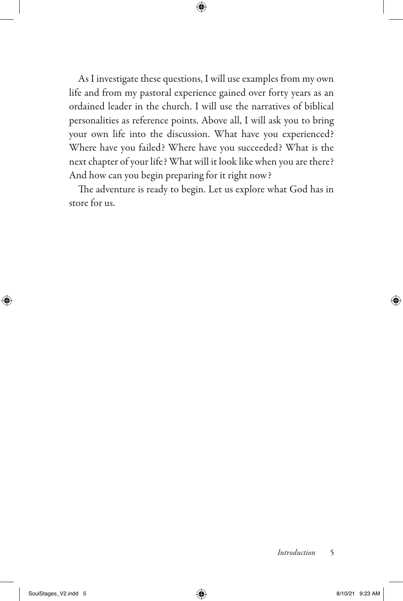As I investigate these questions, I will use examples from my own life and from my pastoral experience gained over forty years as an ordained leader in the church. I will use the narratives of biblical personalities as reference points. Above all, I will ask you to bring your own life into the discussion. What have you experienced? Where have you failed? Where have you succeeded? What is the next chapter of your life? What will it look like when you are there? And how can you begin preparing for it right now?

The adventure is ready to begin. Let us explore what God has in store for us.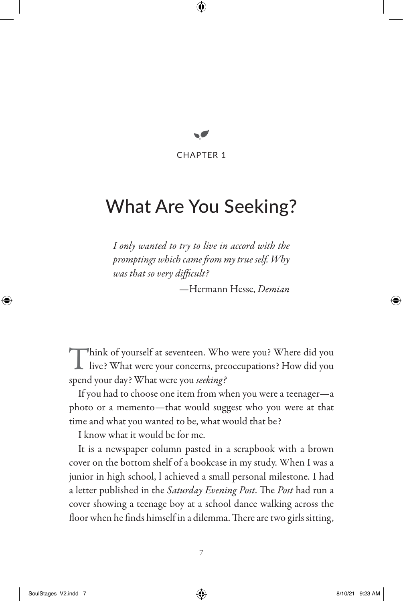

CHAPTER 1

### What Are You Seeking?

*I only wanted to try to live in accord with the promptings which came from my true self. Why was that so very difficult?*

—Hermann Hesse, *Demian*

Think of yourself at seventeen. Who were you? Where did you live? What were your concerns, preoccupations? How did you spend your day? What were you *seeking?*

If you had to choose one item from when you were a teenager—a photo or a memento—that would suggest who you were at that time and what you wanted to be, what would that be?

I know what it would be for me.

It is a newspaper column pasted in a scrapbook with a brown cover on the bottom shelf of a bookcase in my study. When I was a junior in high school, l achieved a small personal milestone. I had a letter published in the *Saturday Evening Post*. The *Post* had run a cover showing a teenage boy at a school dance walking across the floor when he finds himself in a dilemma. There are two girls sitting,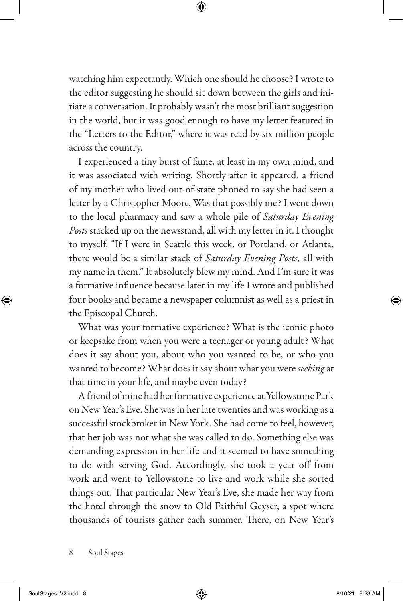watching him expectantly. Which one should he choose? I wrote to the editor suggesting he should sit down between the girls and initiate a conversation. It probably wasn't the most brilliant suggestion in the world, but it was good enough to have my letter featured in the "Letters to the Editor," where it was read by six million people across the country.

I experienced a tiny burst of fame, at least in my own mind, and it was associated with writing. Shortly after it appeared, a friend of my mother who lived out-of-state phoned to say she had seen a letter by a Christopher Moore. Was that possibly me? I went down to the local pharmacy and saw a whole pile of *Saturday Evening Posts* stacked up on the newsstand, all with my letter in it. I thought to myself, "If I were in Seattle this week, or Portland, or Atlanta, there would be a similar stack of *Saturday Evening Posts,* all with my name in them." It absolutely blew my mind. And I'm sure it was a formative influence because later in my life I wrote and published four books and became a newspaper columnist as well as a priest in the Episcopal Church.

What was your formative experience? What is the iconic photo or keepsake from when you were a teenager or young adult? What does it say about you, about who you wanted to be, or who you wanted to become? What does it say about what you were *seeking* at that time in your life, and maybe even today?

A friend of mine had her formative experience at Yellowstone Park on New Year's Eve. She was in her late twenties and was working as a successful stockbroker in New York. She had come to feel, however, that her job was not what she was called to do. Something else was demanding expression in her life and it seemed to have something to do with serving God. Accordingly, she took a year off from work and went to Yellowstone to live and work while she sorted things out. That particular New Year's Eve, she made her way from the hotel through the snow to Old Faithful Geyser, a spot where thousands of tourists gather each summer. There, on New Year's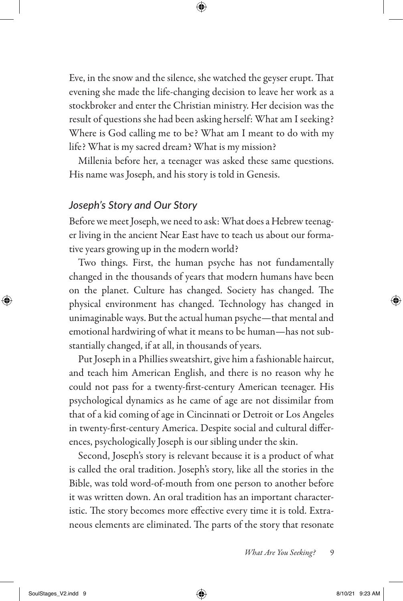Eve, in the snow and the silence, she watched the geyser erupt. That evening she made the life-changing decision to leave her work as a stockbroker and enter the Christian ministry. Her decision was the result of questions she had been asking herself: What am I seeking? Where is God calling me to be? What am I meant to do with my life? What is my sacred dream? What is my mission?

Millenia before her, a teenager was asked these same questions. His name was Joseph, and his story is told in Genesis.

#### *Joseph's Story and Our Story*

Before we meet Joseph, we need to ask: What does a Hebrew teenager living in the ancient Near East have to teach us about our formative years growing up in the modern world?

Two things. First, the human psyche has not fundamentally changed in the thousands of years that modern humans have been on the planet. Culture has changed. Society has changed. The physical environment has changed. Technology has changed in unimaginable ways. But the actual human psyche—that mental and emotional hardwiring of what it means to be human—has not substantially changed, if at all, in thousands of years.

Put Joseph in a Phillies sweatshirt, give him a fashionable haircut, and teach him American English, and there is no reason why he could not pass for a twenty-first-century American teenager. His psychological dynamics as he came of age are not dissimilar from that of a kid coming of age in Cincinnati or Detroit or Los Angeles in twenty-first-century America. Despite social and cultural differences, psychologically Joseph is our sibling under the skin.

Second, Joseph's story is relevant because it is a product of what is called the oral tradition. Joseph's story, like all the stories in the Bible, was told word-of-mouth from one person to another before it was written down. An oral tradition has an important characteristic. The story becomes more effective every time it is told. Extraneous elements are eliminated. The parts of the story that resonate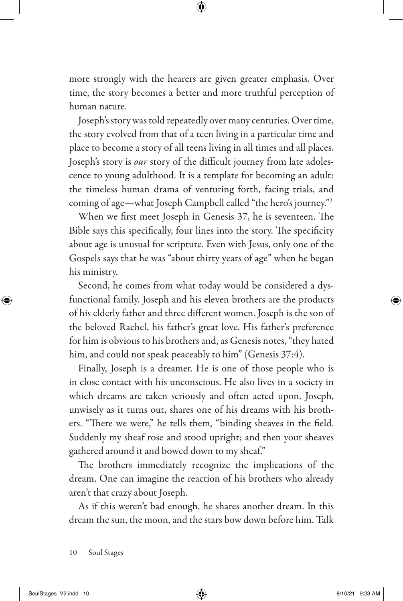more strongly with the hearers are given greater emphasis. Over time, the story becomes a better and more truthful perception of human nature.

Joseph's story was told repeatedly over many centuries. Over time, the story evolved from that of a teen living in a particular time and place to become a story of all teens living in all times and all places. Joseph's story is *our* story of the difficult journey from late adolescence to young adulthood. It is a template for becoming an adult: the timeless human drama of venturing forth, facing trials, and coming of age—what Joseph Campbell called "the hero's journey."2

When we first meet Joseph in Genesis 37, he is seventeen. The Bible says this specifically, four lines into the story. The specificity about age is unusual for scripture. Even with Jesus, only one of the Gospels says that he was "about thirty years of age" when he began his ministry.

Second, he comes from what today would be considered a dysfunctional family. Joseph and his eleven brothers are the products of his elderly father and three different women. Joseph is the son of the beloved Rachel, his father's great love. His father's preference for him is obvious to his brothers and, as Genesis notes, "they hated him, and could not speak peaceably to him" (Genesis 37:4).

Finally, Joseph is a dreamer. He is one of those people who is in close contact with his unconscious. He also lives in a society in which dreams are taken seriously and often acted upon. Joseph, unwisely as it turns out, shares one of his dreams with his brothers. "There we were," he tells them, "binding sheaves in the field. Suddenly my sheaf rose and stood upright; and then your sheaves gathered around it and bowed down to my sheaf."

The brothers immediately recognize the implications of the dream. One can imagine the reaction of his brothers who already aren't that crazy about Joseph.

As if this weren't bad enough, he shares another dream. In this dream the sun, the moon, and the stars bow down before him. Talk